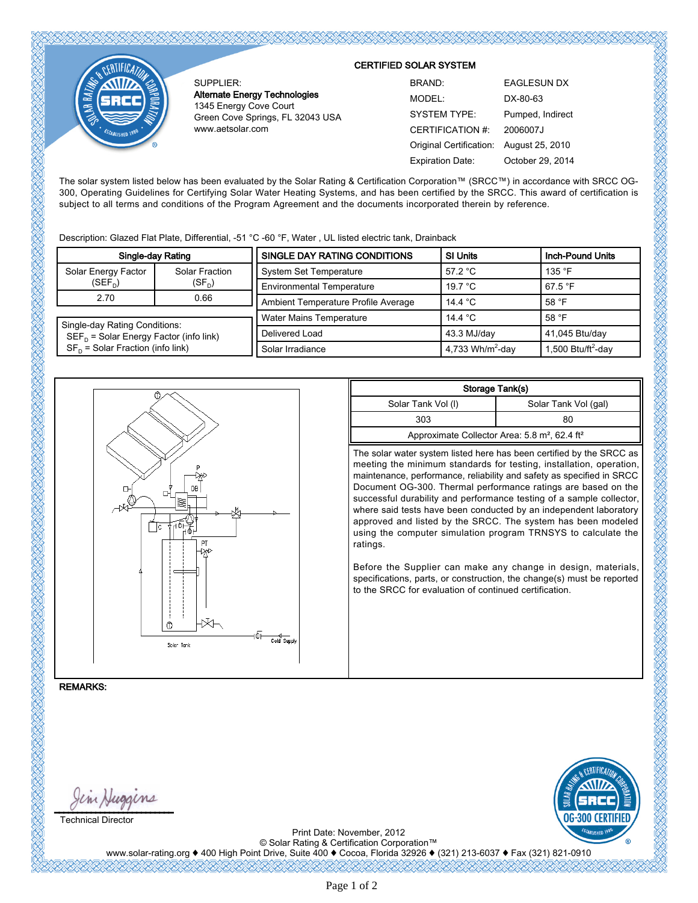SUPPLIER: Alternate Energy Technologies 1345 Energy Cove Court Green Cove Springs, FL 32043 USA www.aetsolar.com

## CERTIFIED SOLAR SYSTEM

| BRAND:                  | <b>EAGLESUN DX</b> |
|-------------------------|--------------------|
| MODEL:                  | DX-80-63           |
| <b>SYSTEM TYPE:</b>     | Pumped, Indirect   |
| CERTIFICATION #:        | 2006007.1          |
| Original Certification: | August 25, 2010    |
| <b>Expiration Date:</b> | October 29, 2014   |

The solar system listed below has been evaluated by the Solar Rating & Certification Corporation™ (SRCC™) in accordance with SRCC OG-300, Operating Guidelines for Certifying Solar Water Heating Systems, and has been certified by the SRCC. This award of certification is subject to all terms and conditions of the Program Agreement and the documents incorporated therein by reference.

Description: Glazed Flat Plate, Differential, -51 °C -60 °F, Water , UL listed electric tank, Drainback

| Single-day Rating                           |                            | SINGLE DAY RATING CONDITIONS        | <b>SI Units</b>              | Inch-Pound Units               |  |
|---------------------------------------------|----------------------------|-------------------------------------|------------------------------|--------------------------------|--|
| Solar Energy Factor                         | Solar Fraction<br>$(SF_n)$ | <b>System Set Temperature</b>       | 57.2 °C                      | 135 $\degree$ F                |  |
| $(SEF_n)$                                   |                            | <b>Environmental Temperature</b>    | 19.7 °C                      | 67.5 $\degree$ F               |  |
| 2.70                                        | 0.66                       | Ambient Temperature Profile Average | 14.4 $^{\circ}$ C            | 58 $\degree$ F                 |  |
| Single-day Rating Conditions:               |                            | <b>Water Mains Temperature</b>      | 14.4 °C                      | 58 $\degree$ F                 |  |
| $SEF_{D}$ = Solar Energy Factor (info link) |                            | Delivered Load                      | 43.3 MJ/day                  | 41,045 Btu/day                 |  |
| $SF_{D}$ = Solar Fraction (info link)       |                            | Solar Irradiance                    | 4,733 Wh/m <sup>2</sup> -day | 1,500 Btu/ft <sup>2</sup> -day |  |



| Storage Tank(s)                                                       |                      |  |  |  |  |
|-----------------------------------------------------------------------|----------------------|--|--|--|--|
| Solar Tank Vol (I)                                                    | Solar Tank Vol (gal) |  |  |  |  |
| 303                                                                   | 80                   |  |  |  |  |
| Approximate Collector Area: 5.8 m <sup>2</sup> , 62.4 ft <sup>2</sup> |                      |  |  |  |  |

The solar water system listed here has been certified by the SRCC as meeting the minimum standards for testing, installation, operation, maintenance, performance, reliability and safety as specified in SRCC Document OG-300. Thermal performance ratings are based on the successful durability and performance testing of a sample collector, where said tests have been conducted by an independent laboratory approved and listed by the SRCC. The system has been modeled using the computer simulation program TRNSYS to calculate the ratings.

Before the Supplier can make any change in design, materials, specifications, parts, or construction, the change(s) must be reported to the SRCC for evaluation of continued certification.

REMARKS:

 $\cup$ Technical Director



Print Date: November, 2012 © Solar Rating & Certification Corporation™

www.solar-rating.org ♦ 400 High Point Drive, Suite 400 ♦ Cocoa, Florida 32926 ♦ (321) 213-6037 ♦ Fax (321) 821-0910